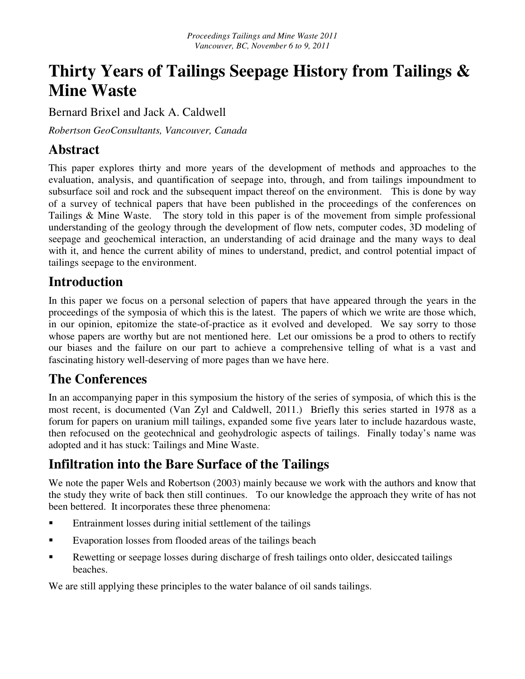# **Thirty Years of Tailings Seepage History from Tailings & Mine Waste**

Bernard Brixel and Jack A. Caldwell

*Robertson GeoConsultants, Vancouver, Canada* 

#### **Abstract**

This paper explores thirty and more years of the development of methods and approaches to the evaluation, analysis, and quantification of seepage into, through, and from tailings impoundment to subsurface soil and rock and the subsequent impact thereof on the environment. This is done by way of a survey of technical papers that have been published in the proceedings of the conferences on Tailings & Mine Waste. The story told in this paper is of the movement from simple professional understanding of the geology through the development of flow nets, computer codes, 3D modeling of seepage and geochemical interaction, an understanding of acid drainage and the many ways to deal with it, and hence the current ability of mines to understand, predict, and control potential impact of tailings seepage to the environment.

# **Introduction**

In this paper we focus on a personal selection of papers that have appeared through the years in the proceedings of the symposia of which this is the latest. The papers of which we write are those which, in our opinion, epitomize the state-of-practice as it evolved and developed. We say sorry to those whose papers are worthy but are not mentioned here. Let our omissions be a prod to others to rectify our biases and the failure on our part to achieve a comprehensive telling of what is a vast and fascinating history well-deserving of more pages than we have here.

# **The Conferences**

In an accompanying paper in this symposium the history of the series of symposia, of which this is the most recent, is documented (Van Zyl and Caldwell, 2011.) Briefly this series started in 1978 as a forum for papers on uranium mill tailings, expanded some five years later to include hazardous waste, then refocused on the geotechnical and geohydrologic aspects of tailings. Finally today's name was adopted and it has stuck: Tailings and Mine Waste.

# **Infiltration into the Bare Surface of the Tailings**

We note the paper Wels and Robertson (2003) mainly because we work with the authors and know that the study they write of back then still continues. To our knowledge the approach they write of has not been bettered. It incorporates these three phenomena:

- Entrainment losses during initial settlement of the tailings
- Evaporation losses from flooded areas of the tailings beach
- Rewetting or seepage losses during discharge of fresh tailings onto older, desiccated tailings beaches.

We are still applying these principles to the water balance of oil sands tailings.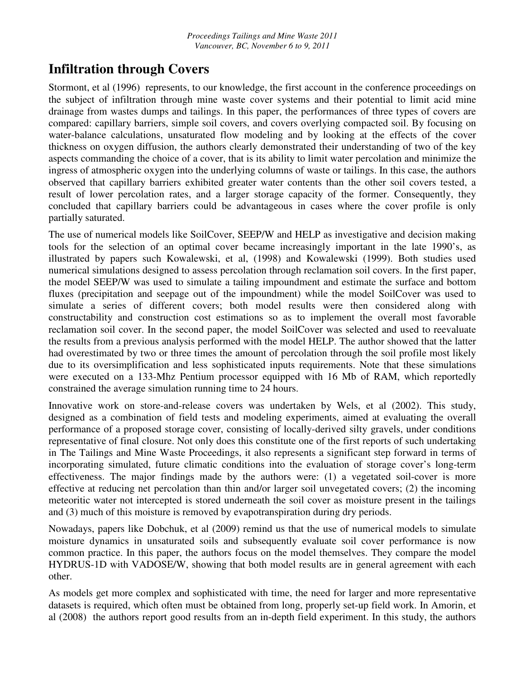#### **Infiltration through Covers**

Stormont, et al (1996) represents, to our knowledge, the first account in the conference proceedings on the subject of infiltration through mine waste cover systems and their potential to limit acid mine drainage from wastes dumps and tailings. In this paper, the performances of three types of covers are compared: capillary barriers, simple soil covers, and covers overlying compacted soil. By focusing on water-balance calculations, unsaturated flow modeling and by looking at the effects of the cover thickness on oxygen diffusion, the authors clearly demonstrated their understanding of two of the key aspects commanding the choice of a cover, that is its ability to limit water percolation and minimize the ingress of atmospheric oxygen into the underlying columns of waste or tailings. In this case, the authors observed that capillary barriers exhibited greater water contents than the other soil covers tested, a result of lower percolation rates, and a larger storage capacity of the former. Consequently, they concluded that capillary barriers could be advantageous in cases where the cover profile is only partially saturated.

The use of numerical models like SoilCover, SEEP/W and HELP as investigative and decision making tools for the selection of an optimal cover became increasingly important in the late 1990's, as illustrated by papers such Kowalewski, et al, (1998) and Kowalewski (1999). Both studies used numerical simulations designed to assess percolation through reclamation soil covers. In the first paper, the model SEEP/W was used to simulate a tailing impoundment and estimate the surface and bottom fluxes (precipitation and seepage out of the impoundment) while the model SoilCover was used to simulate a series of different covers; both model results were then considered along with constructability and construction cost estimations so as to implement the overall most favorable reclamation soil cover. In the second paper, the model SoilCover was selected and used to reevaluate the results from a previous analysis performed with the model HELP. The author showed that the latter had overestimated by two or three times the amount of percolation through the soil profile most likely due to its oversimplification and less sophisticated inputs requirements. Note that these simulations were executed on a 133-Mhz Pentium processor equipped with 16 Mb of RAM, which reportedly constrained the average simulation running time to 24 hours.

Innovative work on store-and-release covers was undertaken by Wels, et al (2002). This study, designed as a combination of field tests and modeling experiments, aimed at evaluating the overall performance of a proposed storage cover, consisting of locally-derived silty gravels, under conditions representative of final closure. Not only does this constitute one of the first reports of such undertaking in The Tailings and Mine Waste Proceedings, it also represents a significant step forward in terms of incorporating simulated, future climatic conditions into the evaluation of storage cover's long-term effectiveness. The major findings made by the authors were: (1) a vegetated soil-cover is more effective at reducing net percolation than thin and/or larger soil unvegetated covers; (2) the incoming meteoritic water not intercepted is stored underneath the soil cover as moisture present in the tailings and (3) much of this moisture is removed by evapotranspiration during dry periods.

Nowadays, papers like Dobchuk, et al (2009) remind us that the use of numerical models to simulate moisture dynamics in unsaturated soils and subsequently evaluate soil cover performance is now common practice. In this paper, the authors focus on the model themselves. They compare the model HYDRUS-1D with VADOSE/W, showing that both model results are in general agreement with each other.

As models get more complex and sophisticated with time, the need for larger and more representative datasets is required, which often must be obtained from long, properly set-up field work. In Amorin, et al (2008) the authors report good results from an in-depth field experiment. In this study, the authors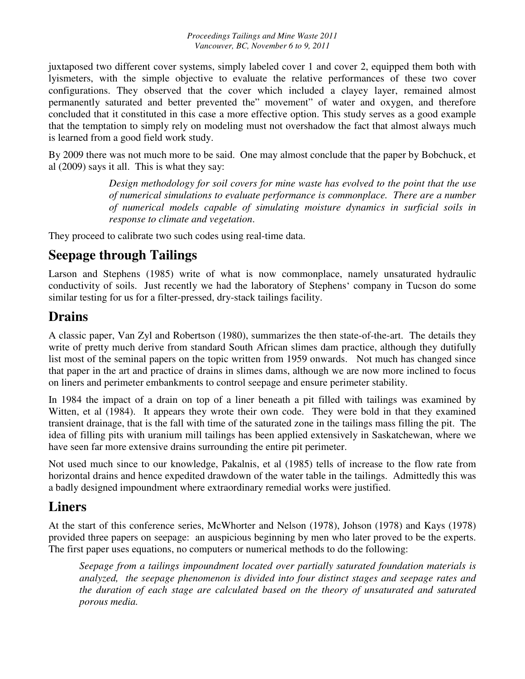juxtaposed two different cover systems, simply labeled cover 1 and cover 2, equipped them both with lyismeters, with the simple objective to evaluate the relative performances of these two cover configurations. They observed that the cover which included a clayey layer, remained almost permanently saturated and better prevented the" movement" of water and oxygen, and therefore concluded that it constituted in this case a more effective option. This study serves as a good example that the temptation to simply rely on modeling must not overshadow the fact that almost always much is learned from a good field work study.

By 2009 there was not much more to be said. One may almost conclude that the paper by Bobchuck, et al (2009) says it all. This is what they say:

> *Design methodology for soil covers for mine waste has evolved to the point that the use of numerical simulations to evaluate performance is commonplace. There are a number of numerical models capable of simulating moisture dynamics in surficial soils in response to climate and vegetation*.

They proceed to calibrate two such codes using real-time data.

# **Seepage through Tailings**

Larson and Stephens (1985) write of what is now commonplace, namely unsaturated hydraulic conductivity of soils. Just recently we had the laboratory of Stephens' company in Tucson do some similar testing for us for a filter-pressed, dry-stack tailings facility.

#### **Drains**

A classic paper, Van Zyl and Robertson (1980), summarizes the then state-of-the-art. The details they write of pretty much derive from standard South African slimes dam practice, although they dutifully list most of the seminal papers on the topic written from 1959 onwards. Not much has changed since that paper in the art and practice of drains in slimes dams, although we are now more inclined to focus on liners and perimeter embankments to control seepage and ensure perimeter stability.

In 1984 the impact of a drain on top of a liner beneath a pit filled with tailings was examined by Witten, et al (1984). It appears they wrote their own code. They were bold in that they examined transient drainage, that is the fall with time of the saturated zone in the tailings mass filling the pit. The idea of filling pits with uranium mill tailings has been applied extensively in Saskatchewan, where we have seen far more extensive drains surrounding the entire pit perimeter.

Not used much since to our knowledge, Pakalnis, et al (1985) tells of increase to the flow rate from horizontal drains and hence expedited drawdown of the water table in the tailings. Admittedly this was a badly designed impoundment where extraordinary remedial works were justified.

#### **Liners**

At the start of this conference series, McWhorter and Nelson (1978), Johson (1978) and Kays (1978) provided three papers on seepage: an auspicious beginning by men who later proved to be the experts. The first paper uses equations, no computers or numerical methods to do the following:

*Seepage from a tailings impoundment located over partially saturated foundation materials is analyzed, the seepage phenomenon is divided into four distinct stages and seepage rates and the duration of each stage are calculated based on the theory of unsaturated and saturated porous media.*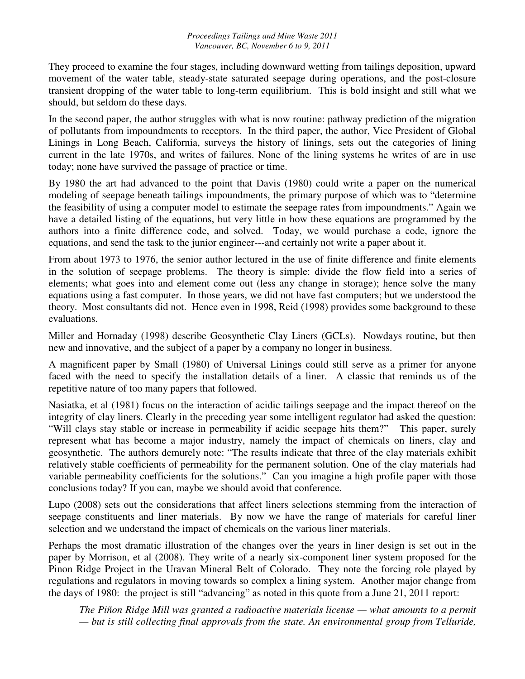They proceed to examine the four stages, including downward wetting from tailings deposition, upward movement of the water table, steady-state saturated seepage during operations, and the post-closure transient dropping of the water table to long-term equilibrium. This is bold insight and still what we should, but seldom do these days.

In the second paper, the author struggles with what is now routine: pathway prediction of the migration of pollutants from impoundments to receptors. In the third paper, the author, Vice President of Global Linings in Long Beach, California, surveys the history of linings, sets out the categories of lining current in the late 1970s, and writes of failures. None of the lining systems he writes of are in use today; none have survived the passage of practice or time.

By 1980 the art had advanced to the point that Davis (1980) could write a paper on the numerical modeling of seepage beneath tailings impoundments, the primary purpose of which was to "determine the feasibility of using a computer model to estimate the seepage rates from impoundments." Again we have a detailed listing of the equations, but very little in how these equations are programmed by the authors into a finite difference code, and solved. Today, we would purchase a code, ignore the equations, and send the task to the junior engineer---and certainly not write a paper about it.

From about 1973 to 1976, the senior author lectured in the use of finite difference and finite elements in the solution of seepage problems. The theory is simple: divide the flow field into a series of elements; what goes into and element come out (less any change in storage); hence solve the many equations using a fast computer. In those years, we did not have fast computers; but we understood the theory. Most consultants did not. Hence even in 1998, Reid (1998) provides some background to these evaluations.

Miller and Hornaday (1998) describe Geosynthetic Clay Liners (GCLs). Nowdays routine, but then new and innovative, and the subject of a paper by a company no longer in business.

A magnificent paper by Small (1980) of Universal Linings could still serve as a primer for anyone faced with the need to specify the installation details of a liner. A classic that reminds us of the repetitive nature of too many papers that followed.

Nasiatka, et al (1981) focus on the interaction of acidic tailings seepage and the impact thereof on the integrity of clay liners. Clearly in the preceding year some intelligent regulator had asked the question: "Will clays stay stable or increase in permeability if acidic seepage hits them?" This paper, surely represent what has become a major industry, namely the impact of chemicals on liners, clay and geosynthetic. The authors demurely note: "The results indicate that three of the clay materials exhibit relatively stable coefficients of permeability for the permanent solution. One of the clay materials had variable permeability coefficients for the solutions." Can you imagine a high profile paper with those conclusions today? If you can, maybe we should avoid that conference.

Lupo (2008) sets out the considerations that affect liners selections stemming from the interaction of seepage constituents and liner materials. By now we have the range of materials for careful liner selection and we understand the impact of chemicals on the various liner materials.

Perhaps the most dramatic illustration of the changes over the years in liner design is set out in the paper by Morrison, et al (2008). They write of a nearly six-component liner system proposed for the Pinon Ridge Project in the Uravan Mineral Belt of Colorado. They note the forcing role played by regulations and regulators in moving towards so complex a lining system. Another major change from the days of 1980: the project is still "advancing" as noted in this quote from a June 21, 2011 report:

*The Piñon Ridge Mill was granted a radioactive materials license — what amounts to a permit — but is still collecting final approvals from the state. An environmental group from Telluride,*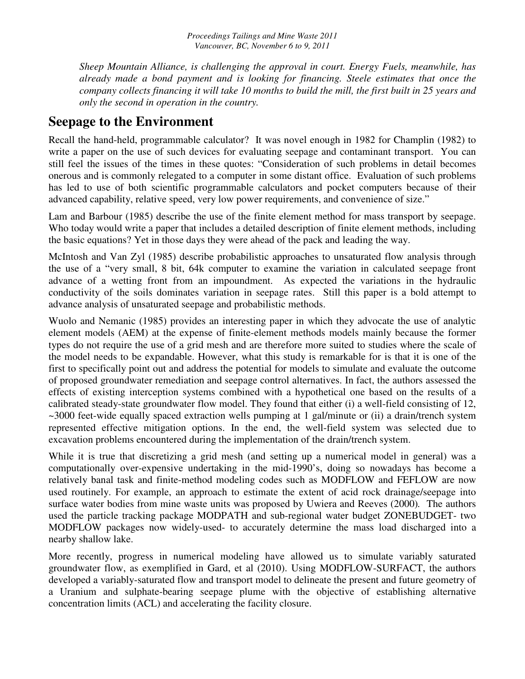*Sheep Mountain Alliance, is challenging the approval in court. Energy Fuels, meanwhile, has already made a bond payment and is looking for financing. Steele estimates that once the company collects financing it will take 10 months to build the mill, the first built in 25 years and only the second in operation in the country.* 

#### **Seepage to the Environment**

Recall the hand-held, programmable calculator? It was novel enough in 1982 for Champlin (1982) to write a paper on the use of such devices for evaluating seepage and contaminant transport. You can still feel the issues of the times in these quotes: "Consideration of such problems in detail becomes onerous and is commonly relegated to a computer in some distant office. Evaluation of such problems has led to use of both scientific programmable calculators and pocket computers because of their advanced capability, relative speed, very low power requirements, and convenience of size."

Lam and Barbour (1985) describe the use of the finite element method for mass transport by seepage. Who today would write a paper that includes a detailed description of finite element methods, including the basic equations? Yet in those days they were ahead of the pack and leading the way.

McIntosh and Van Zyl (1985) describe probabilistic approaches to unsaturated flow analysis through the use of a "very small, 8 bit, 64k computer to examine the variation in calculated seepage front advance of a wetting front from an impoundment. As expected the variations in the hydraulic conductivity of the soils dominates variation in seepage rates. Still this paper is a bold attempt to advance analysis of unsaturated seepage and probabilistic methods.

Wuolo and Nemanic (1985) provides an interesting paper in which they advocate the use of analytic element models (AEM) at the expense of finite-element methods models mainly because the former types do not require the use of a grid mesh and are therefore more suited to studies where the scale of the model needs to be expandable. However, what this study is remarkable for is that it is one of the first to specifically point out and address the potential for models to simulate and evaluate the outcome of proposed groundwater remediation and seepage control alternatives. In fact, the authors assessed the effects of existing interception systems combined with a hypothetical one based on the results of a calibrated steady-state groundwater flow model. They found that either (i) a well-field consisting of 12, ~3000 feet-wide equally spaced extraction wells pumping at 1 gal/minute or (ii) a drain/trench system represented effective mitigation options. In the end, the well-field system was selected due to excavation problems encountered during the implementation of the drain/trench system.

While it is true that discretizing a grid mesh (and setting up a numerical model in general) was a computationally over-expensive undertaking in the mid-1990's, doing so nowadays has become a relatively banal task and finite-method modeling codes such as MODFLOW and FEFLOW are now used routinely. For example, an approach to estimate the extent of acid rock drainage/seepage into surface water bodies from mine waste units was proposed by Uwiera and Reeves (2000)*.* The authors used the particle tracking package MODPATH and sub-regional water budget ZONEBUDGET- two MODFLOW packages now widely-used- to accurately determine the mass load discharged into a nearby shallow lake.

More recently, progress in numerical modeling have allowed us to simulate variably saturated groundwater flow, as exemplified in Gard, et al (2010). Using MODFLOW-SURFACT, the authors developed a variably-saturated flow and transport model to delineate the present and future geometry of a Uranium and sulphate-bearing seepage plume with the objective of establishing alternative concentration limits (ACL) and accelerating the facility closure.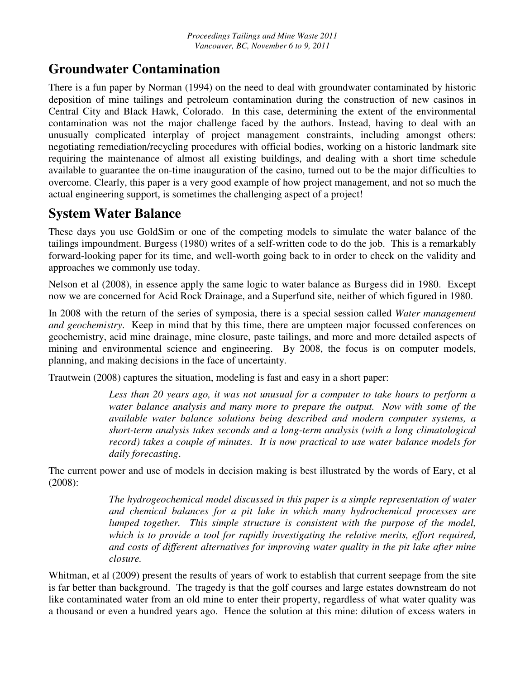#### **Groundwater Contamination**

There is a fun paper by Norman (1994) on the need to deal with groundwater contaminated by historic deposition of mine tailings and petroleum contamination during the construction of new casinos in Central City and Black Hawk, Colorado. In this case, determining the extent of the environmental contamination was not the major challenge faced by the authors. Instead, having to deal with an unusually complicated interplay of project management constraints, including amongst others: negotiating remediation/recycling procedures with official bodies, working on a historic landmark site requiring the maintenance of almost all existing buildings, and dealing with a short time schedule available to guarantee the on-time inauguration of the casino, turned out to be the major difficulties to overcome. Clearly, this paper is a very good example of how project management, and not so much the actual engineering support, is sometimes the challenging aspect of a project!

#### **System Water Balance**

These days you use GoldSim or one of the competing models to simulate the water balance of the tailings impoundment. Burgess (1980) writes of a self-written code to do the job. This is a remarkably forward-looking paper for its time, and well-worth going back to in order to check on the validity and approaches we commonly use today.

Nelson et al (2008), in essence apply the same logic to water balance as Burgess did in 1980. Except now we are concerned for Acid Rock Drainage, and a Superfund site, neither of which figured in 1980.

In 2008 with the return of the series of symposia, there is a special session called *Water management and geochemistry*. Keep in mind that by this time, there are umpteen major focussed conferences on geochemistry, acid mine drainage, mine closure, paste tailings, and more and more detailed aspects of mining and environmental science and engineering. By 2008, the focus is on computer models, planning, and making decisions in the face of uncertainty.

Trautwein (2008) captures the situation, modeling is fast and easy in a short paper:

Less than 20 years ago, it was not unusual for a computer to take hours to perform a *water balance analysis and many more to prepare the output. Now with some of the available water balance solutions being described and modern computer systems, a short-term analysis takes seconds and a long-term analysis (with a long climatological record) takes a couple of minutes. It is now practical to use water balance models for daily forecasting*.

The current power and use of models in decision making is best illustrated by the words of Eary, et al (2008):

> *The hydrogeochemical model discussed in this paper is a simple representation of water and chemical balances for a pit lake in which many hydrochemical processes are lumped together. This simple structure is consistent with the purpose of the model, which is to provide a tool for rapidly investigating the relative merits, effort required, and costs of different alternatives for improving water quality in the pit lake after mine closure.*

Whitman, et al (2009) present the results of years of work to establish that current seepage from the site is far better than background. The tragedy is that the golf courses and large estates downstream do not like contaminated water from an old mine to enter their property, regardless of what water quality was a thousand or even a hundred years ago. Hence the solution at this mine: dilution of excess waters in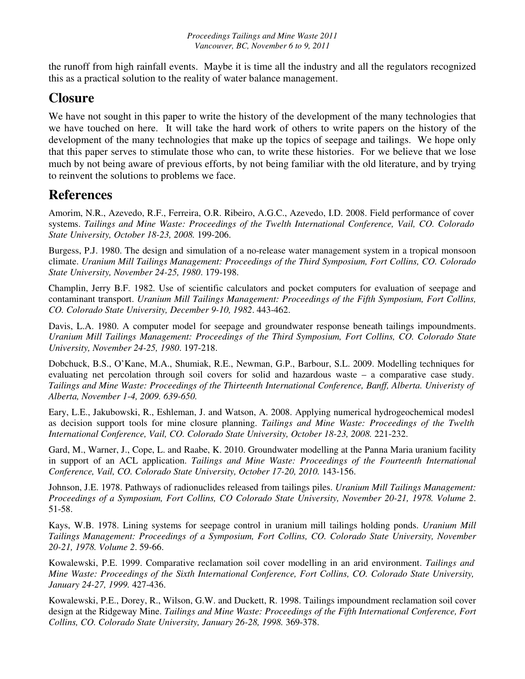the runoff from high rainfall events. Maybe it is time all the industry and all the regulators recognized this as a practical solution to the reality of water balance management.

# **Closure**

We have not sought in this paper to write the history of the development of the many technologies that we have touched on here. It will take the hard work of others to write papers on the history of the development of the many technologies that make up the topics of seepage and tailings. We hope only that this paper serves to stimulate those who can, to write these histories. For we believe that we lose much by not being aware of previous efforts, by not being familiar with the old literature, and by trying to reinvent the solutions to problems we face.

# **References**

Amorim, N.R., Azevedo, R.F., Ferreira, O.R. Ribeiro, A.G.C., Azevedo, I.D. 2008. Field performance of cover systems. *Tailings and Mine Waste: Proceedings of the Twelth International Conference, Vail, CO. Colorado State University, October 18-23, 2008.* 199-206.

Burgess, P.J. 1980. The design and simulation of a no-release water management system in a tropical monsoon climate. *Uranium Mill Tailings Management: Proceedings of the Third Symposium, Fort Collins, CO. Colorado State University, November 24-25, 1980*. 179-198.

Champlin, Jerry B.F. 1982. Use of scientific calculators and pocket computers for evaluation of seepage and contaminant transport. *Uranium Mill Tailings Management: Proceedings of the Fifth Symposium, Fort Collins, CO. Colorado State University, December 9-10, 1982*. 443-462.

Davis, L.A. 1980. A computer model for seepage and groundwater response beneath tailings impoundments. *Uranium Mill Tailings Management: Proceedings of the Third Symposium, Fort Collins, CO. Colorado State University, November 24-25, 1980*. 197-218.

Dobchuck, B.S., O'Kane, M.A., Shumiak, R.E., Newman, G.P., Barbour, S.L. 2009. Modelling techniques for evaluating net percolation through soil covers for solid and hazardous waste – a comparative case study. *Tailings and Mine Waste: Proceedings of the Thirteenth International Conference, Banff, Alberta. Univeristy of Alberta, November 1-4, 2009. 639-650.* 

Eary, L.E., Jakubowski, R., Eshleman, J. and Watson, A. 2008. Applying numerical hydrogeochemical modesl as decision support tools for mine closure planning. *Tailings and Mine Waste: Proceedings of the Twelth International Conference, Vail, CO. Colorado State University, October 18-23, 2008.* 221-232.

Gard, M., Warner, J., Cope, L. and Raabe, K. 2010. Groundwater modelling at the Panna Maria uranium facility in support of an ACL application. *Tailings and Mine Waste: Proceedings of the Fourteenth International Conference, Vail, CO. Colorado State University, October 17-20, 2010.* 143-156.

Johnson, J.E. 1978. Pathways of radionuclides released from tailings piles. *Uranium Mill Tailings Management: Proceedings of a Symposium, Fort Collins, CO Colorado State University, November 20-21, 1978. Volume 2*. 51-58.

Kays, W.B. 1978. Lining systems for seepage control in uranium mill tailings holding ponds. *Uranium Mill Tailings Management: Proceedings of a Symposium, Fort Collins, CO. Colorado State University, November 20-21, 1978. Volume 2*. 59-66.

Kowalewski, P.E. 1999. Comparative reclamation soil cover modelling in an arid environment. *Tailings and Mine Waste: Proceedings of the Sixth International Conference, Fort Collins, CO. Colorado State University, January 24-27, 1999.* 427-436.

Kowalewski, P.E., Dorey, R., Wilson, G.W. and Duckett, R. 1998. Tailings impoundment reclamation soil cover design at the Ridgeway Mine. *Tailings and Mine Waste: Proceedings of the Fifth International Conference, Fort Collins, CO. Colorado State University, January 26-28, 1998.* 369-378.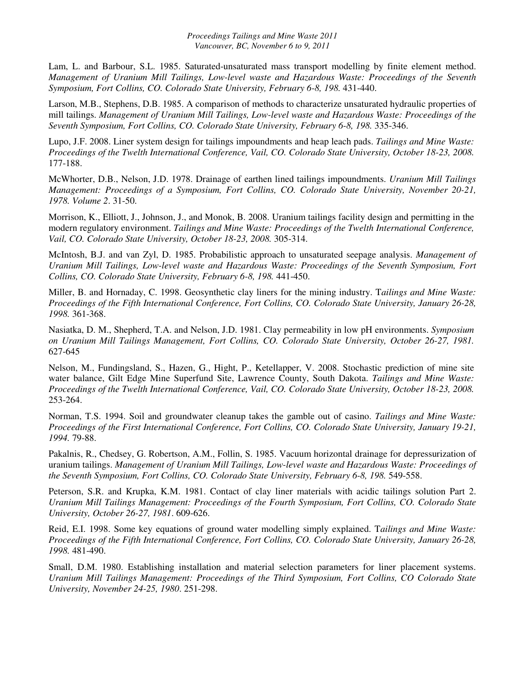Lam, L. and Barbour, S.L. 1985. Saturated-unsaturated mass transport modelling by finite element method. *Management of Uranium Mill Tailings, Low-level waste and Hazardous Waste: Proceedings of the Seventh Symposium, Fort Collins, CO. Colorado State University, February 6-8, 198.* 431-440.

Larson, M.B., Stephens, D.B. 1985. A comparison of methods to characterize unsaturated hydraulic properties of mill tailings. *Management of Uranium Mill Tailings, Low-level waste and Hazardous Waste: Proceedings of the Seventh Symposium, Fort Collins, CO. Colorado State University, February 6-8, 198.* 335-346.

Lupo, J.F. 2008. Liner system design for tailings impoundments and heap leach pads. *Tailings and Mine Waste: Proceedings of the Twelth International Conference, Vail, CO. Colorado State University, October 18-23, 2008.* 177-188.

McWhorter, D.B., Nelson, J.D. 1978. Drainage of earthen lined tailings impoundments. *Uranium Mill Tailings Management: Proceedings of a Symposium, Fort Collins, CO. Colorado State University, November 20-21, 1978. Volume 2*. 31-50.

Morrison, K., Elliott, J., Johnson, J., and Monok, B. 2008. Uranium tailings facility design and permitting in the modern regulatory environment. *Tailings and Mine Waste: Proceedings of the Twelth International Conference, Vail, CO. Colorado State University, October 18-23, 2008.* 305-314.

McIntosh, B.J. and van Zyl, D. 1985. Probabilistic approach to unsaturated seepage analysis. *Management of Uranium Mill Tailings, Low-level waste and Hazardous Waste: Proceedings of the Seventh Symposium, Fort Collins, CO. Colorado State University, February 6-8, 198.* 441-450.

Miller, B. and Hornaday, C. 1998. Geosynthetic clay liners for the mining industry. T*ailings and Mine Waste: Proceedings of the Fifth International Conference, Fort Collins, CO. Colorado State University, January 26-28, 1998.* 361-368.

Nasiatka, D. M., Shepherd, T.A. and Nelson, J.D. 1981. Clay permeability in low pH environments. *Symposium on Uranium Mill Tailings Management, Fort Collins, CO. Colorado State University, October 26-27, 1981.* 627-645

Nelson, M., Fundingsland, S., Hazen, G., Hight, P., Ketellapper, V. 2008. Stochastic prediction of mine site water balance, Gilt Edge Mine Superfund Site, Lawrence County, South Dakota. *Tailings and Mine Waste: Proceedings of the Twelth International Conference, Vail, CO. Colorado State University, October 18-23, 2008.* 253-264.

Norman, T.S. 1994. Soil and groundwater cleanup takes the gamble out of casino. *Tailings and Mine Waste: Proceedings of the First International Conference, Fort Collins, CO. Colorado State University, January 19-21, 1994.* 79-88.

Pakalnis, R., Chedsey, G. Robertson, A.M., Follin, S. 1985. Vacuum horizontal drainage for depressurization of uranium tailings. *Management of Uranium Mill Tailings, Low-level waste and Hazardous Waste: Proceedings of the Seventh Symposium, Fort Collins, CO. Colorado State University, February 6-8, 198.* 549-558.

Peterson, S.R. and Krupka, K.M. 1981. Contact of clay liner materials with acidic tailings solution Part 2. *Uranium Mill Tailings Management: Proceedings of the Fourth Symposium, Fort Collins, CO. Colorado State University, October 26-27, 1981*. 609-626.

Reid, E.I. 1998. Some key equations of ground water modelling simply explained. T*ailings and Mine Waste: Proceedings of the Fifth International Conference, Fort Collins, CO. Colorado State University, January 26-28, 1998.* 481-490.

Small, D.M. 1980. Establishing installation and material selection parameters for liner placement systems. *Uranium Mill Tailings Management: Proceedings of the Third Symposium, Fort Collins, CO Colorado State University, November 24-25, 1980*. 251-298.